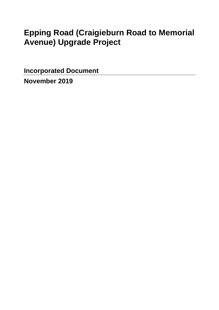# **Epping Road (Craigieburn Road to Memorial Avenue) Upgrade Project**

**Incorporated Document** 

**November 2019**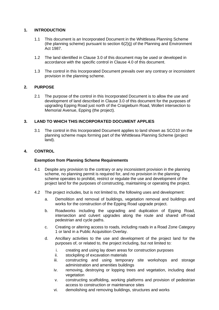# **1. INTRODUCTION**

- 1.1 This document is an Incorporated Document in the Whittlesea Planning Scheme (the planning scheme) pursuant to section 6(2)(j) of the Planning and Environment Act 1987.
- 1.2 The land identified in Clause 3.0 of this document may be used or developed in accordance with the specific control in Clause 4.0 of this document.
- 1.3 The control in this Incorporated Document prevails over any contrary or inconsistent provision in the planning scheme.

# **2. PURPOSE**

2.1 The purpose of the control in this Incorporated Document is to allow the use and development of land described in Clause 3.0 of this document for the purposes of upgrading Epping Road just north of the Craigieburn Road, Wollert intersection to Memorial Avenue, Epping (the project).

# **3. LAND TO WHICH THIS INCORPORATED DOCUMENT APPLIES**

3.1 The control in this Incorporated Document applies to land shown as SCO10 on the planning scheme maps forming part of the Whittlesea Planning Scheme (project land).

#### **4. CONTROL**

#### **Exemption from Planning Scheme Requirements**

- 4.1 Despite any provision to the contrary or any inconsistent provision in the planning scheme, no planning permit is required for, and no provision in the planning scheme operates to prohibit, restrict or regulate the use and development of the project land for the purposes of constructing, maintaining or operating the project.
- 4.2 The project includes, but is not limited to, the following uses and development:
	- a. Demolition and removal of buildings, vegetation removal and buildings and works for the construction of the Epping Road upgrade project.
	- b. Roadworks including the upgrading and duplication of Epping Road, intersection and culvert upgrades along the route and shared off-road pedestrian and cycle paths.
	- c. Creating or altering access to roads, including roads in a Road Zone Category 1 or land in a Public Acquisition Overlay.
	- d. Ancillary activities to the use and development of the project land for the purposes of, or related to, the project including, but not limited to:
		- i. creating and using lay down areas for construction purposes
		- ii. stockpiling of excavation materials
		- iii. constructing and using temporary site workshops and storage administration and amenities buildings
		- iv. removing, destroying or lopping trees and vegetation, including dead vegetation
		- v. constructing scaffolding, working platforms and provision of pedestrian access to construction or maintenance sites
		- vi. demolishing and removing buildings, structures and works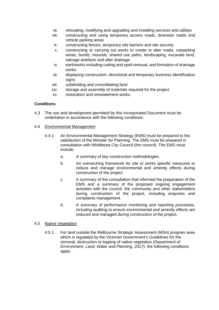- vii. relocating, modifying and upgrading and installing services and utilities
- viii. constructing and using temporary access roads, diversion roads and vehicle parking areas
- ix. constructing fences, temporary site barriers and site security
- x. constructing or carrying out works to create or alter roads, carparking areas, bunds, mounds, shared use paths, landscaping, excavate land, salvage artefacts and alter drainage
- xi. earthworks including cutting and spoil removal, and formation of drainage works
- xii. displaying construction, directional and temporary business identification signs
- xiii. subdividing and consolidating land
- xiv. storage and assembly of materials required for the project
- xv. restoration and reinstatement works.

# **Conditions**

- 4.3 The use and development permitted by this Incorporated Document must be undertaken in accordance with the following conditions:
- 4.4 Environmental Management
	- 4.4.1 An Environmental Management Strategy (EMS) must be prepared to the satisfaction of the Minister for Planning. The EMS must be prepared in consultation with Whittlesea City Council (the council). The EMS must include:
		- a. A summary of key construction methodologies.
		- b. An overarching framework for site or works specific measures to reduce and manage environmental and amenity effects during construction of the project.
		- c. A summary of the consultation that informed the preparation of the EMS and a summary of the proposed ongoing engagement activities with the council, the community and other stakeholders during construction of the project, including enquiries and complaints management.
		- d. A summary of performance monitoring and reporting processes, including auditing to ensure environmental and amenity effects are reduced and managed during construction of the project.

#### 4.5 Native Vegetation

4.5.1 For land outside the Melbourne Strategic Assessment (MSA) program area which is regulated by the Victorian Government's Guidelines for the removal, destruction or lopping of native vegetation *(Department of Environment, Land, Water and Planning, 2017)*, the following conditions apply: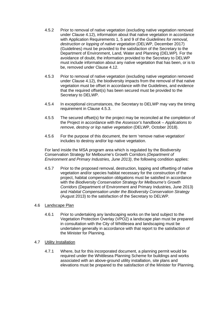- 4.5.2 Prior to removal of native vegetation (excluding native vegetation removed under Clause 4.12), information about that native vegetation in accordance with Application Requirements 1, 5 and 9 of the *Guidelines for removal, destruction or lopping of native vegetation* (DELWP, December 2017) (Guidelines) must be provided to the satisfaction of the Secretary to the Department of Environment, Land, Water and Planning (DELWP). For the avoidance of doubt, the information provided to the Secretary to DELWP must include information about any native vegetation that has been, or is to be, removed under Clause 4.12.
- 4.5.3 Prior to removal of native vegetation (excluding native vegetation removed under Clause 4.12), the biodiversity impacts from the removal of that native vegetation must be offset in accordance with the Guidelines, and evidence that the required offset(s) has been secured must be provided to the Secretary to DELWP.
- 4.5.4 In exceptional circumstances, the Secretary to DELWP may vary the timing requirement in Clause 4.5.3.
- 4.5.5 The secured offset(s) for the project may be reconciled at the completion of the Project in accordance with the *Assessor's handbook – Applications to remove, destroy or lop native vegetation* (DELWP, October 2018).
- 4.5.6 For the purpose of this document, the term 'remove native vegetation' includes to destroy and/or lop native vegetation.

For land inside the MSA program area which is regulated by the Biodiversity Conservation Strategy for Melbourne's Growth Corridors *(Department of Environment and Primary Industries, June 2013)*, the following condition applies:

4.5.7 Prior to the proposed removal, destruction, lopping and offsetting of native vegetation and/or species habitat necessary for the construction of the project, habitat compensation obligations must be satisfied in accordance with the *Biodiversity Conservation Strategy for Melbourne's Growth Corridors* (Department of Environment and Primary Industries, June 2013) and *Habitat Compensation under the Biodiversity Conservation Strategy* (August 2013) to the satisfaction of the Secretary to DELWP.

#### 4.6 Landscape Plan

- 4.6.1 Prior to undertaking any landscaping works on the land subject to the Vegetation Protection Overlay (VPO2) a landscape plan must be prepared in consultation with the City of Whittlesea and landscaping must be undertaken generally in accordance with that report to the satisfaction of the Minister for Planning.
- 4.7 Utility Installation
	- 4.7.1 Where, but for this incorporated document, a planning permit would be required under the Whittlesea Planning Scheme for buildings and works associated with an above-ground utility installation, site plans and elevations must be prepared to the satisfaction of the Minister for Planning.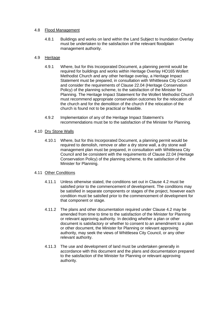#### 4.8 Flood Management

4.8.1 Buildings and works on land within the Land Subject to Inundation Overlay must be undertaken to the satisfaction of the relevant floodplain management authority.

#### 4.9 Heritage

- 4.9.1 Where, but for this Incorporated Document, a planning permit would be required for buildings and works within Heritage Overlay HO165 Wollert Methodist Church and any other heritage overlay, a Heritage Impact Statement must be prepared, in consultation with Whittlesea City Council and consider the requirements of Clause 22.04 (Heritage Conservation Policy) of the planning scheme, to the satisfaction of the Minister for Planning. The Heritage Impact Statement for the Wollert Methodist Church must recommend appropriate conservation outcomes for the relocation of the church and for the demolition of the church if the relocation of the church is found not to be practical or feasible.
- 4.9.2 Implementation of any of the Heritage Impact Statement's recommendations must be to the satisfaction of the Minister for Planning.

#### 4.10 Dry Stone Walls

4.10.1 Where, but for this Incorporated Document, a planning permit would be required to demolish, remove or alter a dry stone wall, a dry stone wall management plan must be prepared, in consultation with Whittlesea City Council and be consistent with the requirements of Clause 22.04 (Heritage Conservation Policy) of the planning scheme, to the satisfaction of the Minister for Planning.

#### 4.11 Other Conditions

- 4.11.1 Unless otherwise stated, the conditions set out in Clause 4.2 must be satisfied prior to the commencement of development. The conditions may be satisfied in separate components or stages of the project, however each condition must be satisfied prior to the commencement of development for that component or stage.
- 4.11.2 The plans and other documentation required under Clause 4.2 may be amended from time to time to the satisfaction of the Minister for Planning or relevant approving authority. In deciding whether a plan or other document is satisfactory or whether to consent to an amendment to a plan or other document, the Minister for Planning or relevant approving authority, may seek the views of Whittlesea City Council, or any other relevant authority.
- 4.11.3 The use and development of land must be undertaken generally in accordance with this document and the plans and documentation prepared to the satisfaction of the Minister for Planning or relevant approving authority.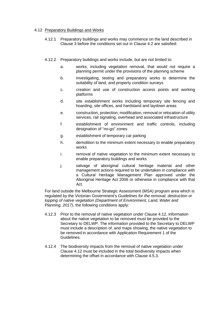#### 4.12 Preparatory Buildings and Works

- 4.12.1 Preparatory buildings and works may commence on the land described in Clause 3 before the conditions set out in Clause 4.2 are satisfied:
- 4.12.2 Preparatory buildings and works include, but are not limited to:
	- a. works, including vegetation removal, that would not require a planning permit under the provisions of the planning scheme
	- b. investigating, testing and preparatory works to determine the suitability of land, and property condition surveys
	- c. creation and use of construction access points and working platforms
	- d. site establishment works including temporary site fencing and hoarding, site offices, and hardstand and laydown areas
	- e. construction, protection, modification, removal or relocation of utility services, rail signaling, overhead and associated infrastructure
	- f. establishment of environment and traffic controls, including designation of "no-go" zones
	- g. establishment of temporary car parking
	- h. demolition to the minimum extent necessary to enable preparatory works
	- i. removal of native vegetation to the minimum extent necessary to enable preparatory buildings and works
	- j. salvage of aboriginal cultural heritage material and other management actions required to be undertaken in compliance with a Cultural Heritage Management Plan approved under the Aboriginal Heritage Act 2006 or otherwise in compliance with that Act.

For land outside the Melbourne Strategic Assessment (MSA) program area which is regulated by the Victorian Government's *Guidelines for the removal, destruction or lopping of native vegetation (Department of Environment, Land, Water and Planning, 2017)*, the following conditions apply:

- 4.12.3 Prior to the removal of native vegetation under Clause 4.12, information about the native vegetation to be removed must be provided to the Secretary to DELWP. The information provided to the Secretary to DELWP must include a description of, and maps showing, the native vegetation to be removed in accordance with Application Requirement 1 of the Guidelines.
- 4.12.4 The biodiversity impacts from the removal of native vegetation under Clause 4.12 must be included in the total biodiversity impacts when determining the offset in accordance with Clause 4.5.3.